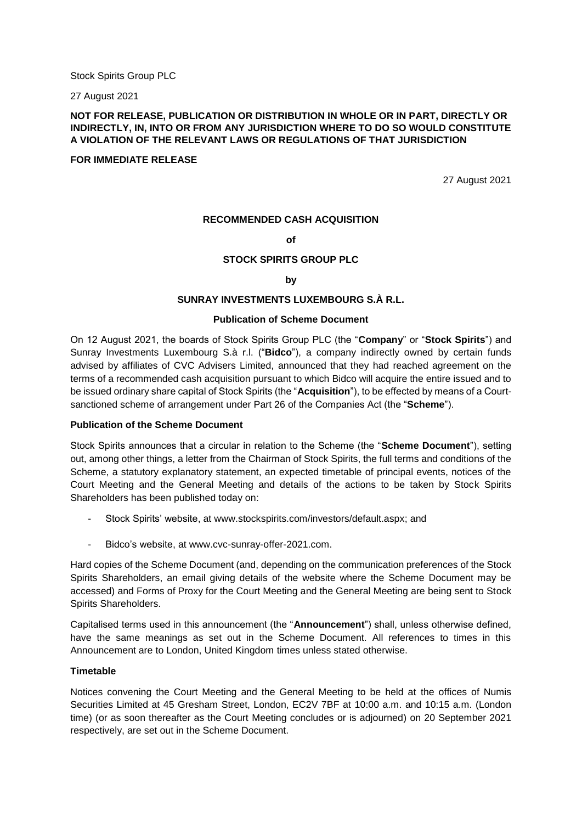Stock Spirits Group PLC

27 August 2021

# **NOT FOR RELEASE, PUBLICATION OR DISTRIBUTION IN WHOLE OR IN PART, DIRECTLY OR INDIRECTLY, IN, INTO OR FROM ANY JURISDICTION WHERE TO DO SO WOULD CONSTITUTE A VIOLATION OF THE RELEVANT LAWS OR REGULATIONS OF THAT JURISDICTION**

#### **FOR IMMEDIATE RELEASE**

27 August 2021

## **RECOMMENDED CASH ACQUISITION**

## **of**

## **STOCK SPIRITS GROUP PLC**

#### **by**

## **SUNRAY INVESTMENTS LUXEMBOURG S.À R.L.**

## **Publication of Scheme Document**

On 12 August 2021, the boards of Stock Spirits Group PLC (the "**Company**" or "**Stock Spirits**") and Sunray Investments Luxembourg S.à r.l. ("**Bidco**"), a company indirectly owned by certain funds advised by affiliates of CVC Advisers Limited, announced that they had reached agreement on the terms of a recommended cash acquisition pursuant to which Bidco will acquire the entire issued and to be issued ordinary share capital of Stock Spirits (the "**Acquisition**"), to be effected by means of a Courtsanctioned scheme of arrangement under Part 26 of the Companies Act (the "**Scheme**").

#### **Publication of the Scheme Document**

Stock Spirits announces that a circular in relation to the Scheme (the "**Scheme Document**"), setting out, among other things, a letter from the Chairman of Stock Spirits, the full terms and conditions of the Scheme, a statutory explanatory statement, an expected timetable of principal events, notices of the Court Meeting and the General Meeting and details of the actions to be taken by Stock Spirits Shareholders has been published today on:

- Stock Spirits' website, at www.stockspirits.com/investors/default.aspx; and
- Bidco's website, at www.cvc-sunray-offer-2021.com.

Hard copies of the Scheme Document (and, depending on the communication preferences of the Stock Spirits Shareholders, an email giving details of the website where the Scheme Document may be accessed) and Forms of Proxy for the Court Meeting and the General Meeting are being sent to Stock Spirits Shareholders.

Capitalised terms used in this announcement (the "**Announcement**") shall, unless otherwise defined, have the same meanings as set out in the Scheme Document. All references to times in this Announcement are to London, United Kingdom times unless stated otherwise.

#### **Timetable**

Notices convening the Court Meeting and the General Meeting to be held at the offices of Numis Securities Limited at 45 Gresham Street, London, EC2V 7BF at 10:00 a.m. and 10:15 a.m. (London time) (or as soon thereafter as the Court Meeting concludes or is adjourned) on 20 September 2021 respectively, are set out in the Scheme Document.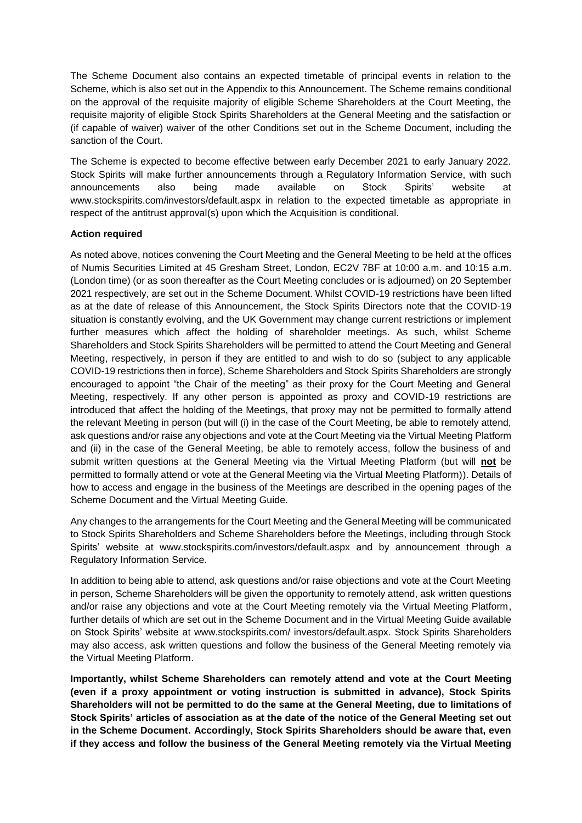The Scheme Document also contains an expected timetable of principal events in relation to the Scheme, which is also set out in the Appendix to this Announcement. The Scheme remains conditional on the approval of the requisite majority of eligible Scheme Shareholders at the Court Meeting, the requisite majority of eligible Stock Spirits Shareholders at the General Meeting and the satisfaction or (if capable of waiver) waiver of the other Conditions set out in the Scheme Document, including the sanction of the Court.

The Scheme is expected to become effective between early December 2021 to early January 2022. Stock Spirits will make further announcements through a Regulatory Information Service, with such announcements also being made available on Stock Spirits' website at www.stockspirits.com/investors/default.aspx in relation to the expected timetable as appropriate in respect of the antitrust approval(s) upon which the Acquisition is conditional.

# **Action required**

As noted above, notices convening the Court Meeting and the General Meeting to be held at the offices of Numis Securities Limited at 45 Gresham Street, London, EC2V 7BF at 10:00 a.m. and 10:15 a.m. (London time) (or as soon thereafter as the Court Meeting concludes or is adjourned) on 20 September 2021 respectively, are set out in the Scheme Document. Whilst COVID-19 restrictions have been lifted as at the date of release of this Announcement, the Stock Spirits Directors note that the COVID-19 situation is constantly evolving, and the UK Government may change current restrictions or implement further measures which affect the holding of shareholder meetings. As such, whilst Scheme Shareholders and Stock Spirits Shareholders will be permitted to attend the Court Meeting and General Meeting, respectively, in person if they are entitled to and wish to do so (subject to any applicable COVID-19 restrictions then in force), Scheme Shareholders and Stock Spirits Shareholders are strongly encouraged to appoint "the Chair of the meeting" as their proxy for the Court Meeting and General Meeting, respectively. If any other person is appointed as proxy and COVID-19 restrictions are introduced that affect the holding of the Meetings, that proxy may not be permitted to formally attend the relevant Meeting in person (but will (i) in the case of the Court Meeting, be able to remotely attend, ask questions and/or raise any objections and vote at the Court Meeting via the Virtual Meeting Platform and (ii) in the case of the General Meeting, be able to remotely access, follow the business of and submit written questions at the General Meeting via the Virtual Meeting Platform (but will **not** be permitted to formally attend or vote at the General Meeting via the Virtual Meeting Platform)). Details of how to access and engage in the business of the Meetings are described in the opening pages of the Scheme Document and the Virtual Meeting Guide.

Any changes to the arrangements for the Court Meeting and the General Meeting will be communicated to Stock Spirits Shareholders and Scheme Shareholders before the Meetings, including through Stock Spirits' website at www.stockspirits.com/investors/default.aspx and by announcement through a Regulatory Information Service.

In addition to being able to attend, ask questions and/or raise objections and vote at the Court Meeting in person, Scheme Shareholders will be given the opportunity to remotely attend, ask written questions and/or raise any objections and vote at the Court Meeting remotely via the Virtual Meeting Platform, further details of which are set out in the Scheme Document and in the Virtual Meeting Guide available on Stock Spirits' website at www.stockspirits.com/ investors/default.aspx. Stock Spirits Shareholders may also access, ask written questions and follow the business of the General Meeting remotely via the Virtual Meeting Platform.

**Importantly, whilst Scheme Shareholders can remotely attend and vote at the Court Meeting (even if a proxy appointment or voting instruction is submitted in advance), Stock Spirits Shareholders will not be permitted to do the same at the General Meeting, due to limitations of Stock Spirits' articles of association as at the date of the notice of the General Meeting set out in the Scheme Document. Accordingly, Stock Spirits Shareholders should be aware that, even if they access and follow the business of the General Meeting remotely via the Virtual Meeting**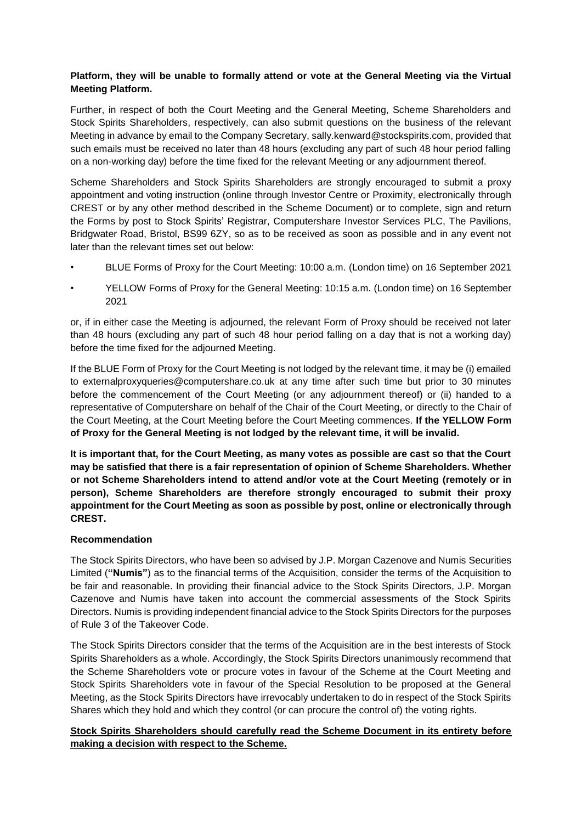# **Platform, they will be unable to formally attend or vote at the General Meeting via the Virtual Meeting Platform.**

Further, in respect of both the Court Meeting and the General Meeting, Scheme Shareholders and Stock Spirits Shareholders, respectively, can also submit questions on the business of the relevant Meeting in advance by email to the Company Secretary, sally.kenward@stockspirits.com, provided that such emails must be received no later than 48 hours (excluding any part of such 48 hour period falling on a non-working day) before the time fixed for the relevant Meeting or any adjournment thereof.

Scheme Shareholders and Stock Spirits Shareholders are strongly encouraged to submit a proxy appointment and voting instruction (online through Investor Centre or Proximity, electronically through CREST or by any other method described in the Scheme Document) or to complete, sign and return the Forms by post to Stock Spirits' Registrar, Computershare Investor Services PLC, The Pavilions, Bridgwater Road, Bristol, BS99 6ZY, so as to be received as soon as possible and in any event not later than the relevant times set out below:

- BLUE Forms of Proxy for the Court Meeting: 10:00 a.m. (London time) on 16 September 2021
- YELLOW Forms of Proxy for the General Meeting: 10:15 a.m. (London time) on 16 September 2021

or, if in either case the Meeting is adjourned, the relevant Form of Proxy should be received not later than 48 hours (excluding any part of such 48 hour period falling on a day that is not a working day) before the time fixed for the adjourned Meeting.

If the BLUE Form of Proxy for the Court Meeting is not lodged by the relevant time, it may be (i) emailed to externalproxyqueries@computershare.co.uk at any time after such time but prior to 30 minutes before the commencement of the Court Meeting (or any adjournment thereof) or (ii) handed to a representative of Computershare on behalf of the Chair of the Court Meeting, or directly to the Chair of the Court Meeting, at the Court Meeting before the Court Meeting commences. **If the YELLOW Form of Proxy for the General Meeting is not lodged by the relevant time, it will be invalid.**

**It is important that, for the Court Meeting, as many votes as possible are cast so that the Court may be satisfied that there is a fair representation of opinion of Scheme Shareholders. Whether or not Scheme Shareholders intend to attend and/or vote at the Court Meeting (remotely or in person), Scheme Shareholders are therefore strongly encouraged to submit their proxy appointment for the Court Meeting as soon as possible by post, online or electronically through CREST.** 

# **Recommendation**

The Stock Spirits Directors, who have been so advised by J.P. Morgan Cazenove and Numis Securities Limited (**"Numis"**) as to the financial terms of the Acquisition, consider the terms of the Acquisition to be fair and reasonable. In providing their financial advice to the Stock Spirits Directors, J.P. Morgan Cazenove and Numis have taken into account the commercial assessments of the Stock Spirits Directors. Numis is providing independent financial advice to the Stock Spirits Directors for the purposes of Rule 3 of the Takeover Code.

The Stock Spirits Directors consider that the terms of the Acquisition are in the best interests of Stock Spirits Shareholders as a whole. Accordingly, the Stock Spirits Directors unanimously recommend that the Scheme Shareholders vote or procure votes in favour of the Scheme at the Court Meeting and Stock Spirits Shareholders vote in favour of the Special Resolution to be proposed at the General Meeting, as the Stock Spirits Directors have irrevocably undertaken to do in respect of the Stock Spirits Shares which they hold and which they control (or can procure the control of) the voting rights.

# **Stock Spirits Shareholders should carefully read the Scheme Document in its entirety before making a decision with respect to the Scheme.**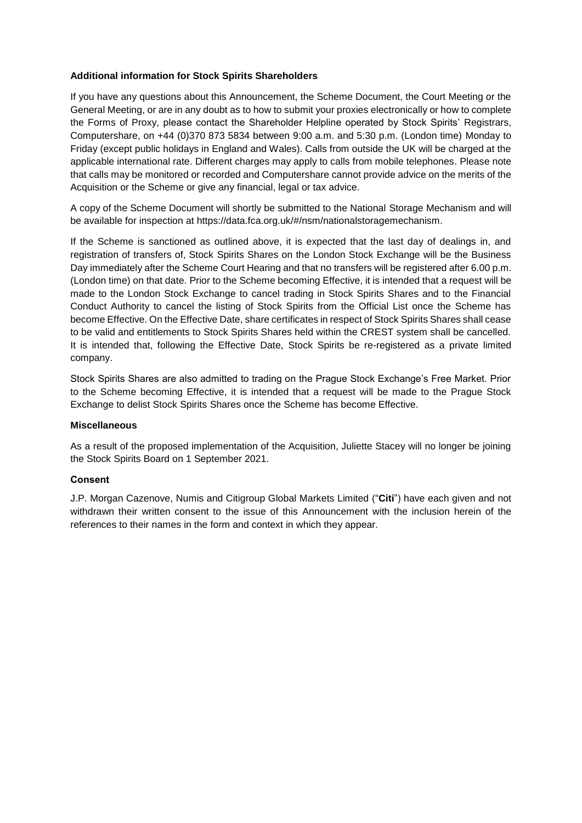# **Additional information for Stock Spirits Shareholders**

If you have any questions about this Announcement, the Scheme Document, the Court Meeting or the General Meeting, or are in any doubt as to how to submit your proxies electronically or how to complete the Forms of Proxy, please contact the Shareholder Helpline operated by Stock Spirits' Registrars, Computershare, on +44 (0)370 873 5834 between 9:00 a.m. and 5:30 p.m. (London time) Monday to Friday (except public holidays in England and Wales). Calls from outside the UK will be charged at the applicable international rate. Different charges may apply to calls from mobile telephones. Please note that calls may be monitored or recorded and Computershare cannot provide advice on the merits of the Acquisition or the Scheme or give any financial, legal or tax advice.

A copy of the Scheme Document will shortly be submitted to the National Storage Mechanism and will be available for inspection at https://data.fca.org.uk/#/nsm/nationalstoragemechanism.

If the Scheme is sanctioned as outlined above, it is expected that the last day of dealings in, and registration of transfers of, Stock Spirits Shares on the London Stock Exchange will be the Business Day immediately after the Scheme Court Hearing and that no transfers will be registered after 6.00 p.m. (London time) on that date. Prior to the Scheme becoming Effective, it is intended that a request will be made to the London Stock Exchange to cancel trading in Stock Spirits Shares and to the Financial Conduct Authority to cancel the listing of Stock Spirits from the Official List once the Scheme has become Effective. On the Effective Date, share certificates in respect of Stock Spirits Shares shall cease to be valid and entitlements to Stock Spirits Shares held within the CREST system shall be cancelled. It is intended that, following the Effective Date, Stock Spirits be re-registered as a private limited company.

Stock Spirits Shares are also admitted to trading on the Prague Stock Exchange's Free Market. Prior to the Scheme becoming Effective, it is intended that a request will be made to the Prague Stock Exchange to delist Stock Spirits Shares once the Scheme has become Effective.

# **Miscellaneous**

As a result of the proposed implementation of the Acquisition, Juliette Stacey will no longer be joining the Stock Spirits Board on 1 September 2021.

# **Consent**

J.P. Morgan Cazenove, Numis and Citigroup Global Markets Limited ("**Citi**") have each given and not withdrawn their written consent to the issue of this Announcement with the inclusion herein of the references to their names in the form and context in which they appear.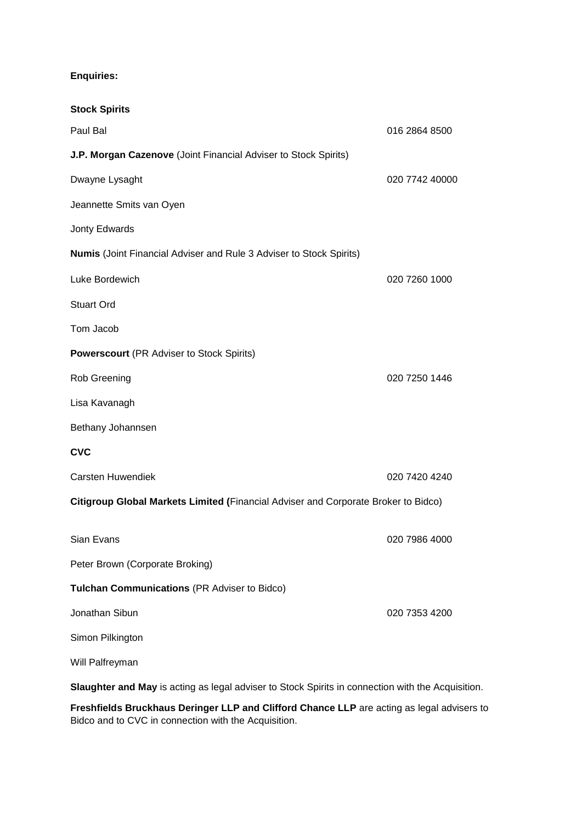# **Enquiries:**

| <b>Stock Spirits</b>                                                                              |                |  |
|---------------------------------------------------------------------------------------------------|----------------|--|
| Paul Bal                                                                                          | 016 2864 8500  |  |
| J.P. Morgan Cazenove (Joint Financial Adviser to Stock Spirits)                                   |                |  |
| Dwayne Lysaght                                                                                    | 020 7742 40000 |  |
| Jeannette Smits van Oyen                                                                          |                |  |
| Jonty Edwards                                                                                     |                |  |
| <b>Numis</b> (Joint Financial Adviser and Rule 3 Adviser to Stock Spirits)                        |                |  |
| Luke Bordewich                                                                                    | 020 7260 1000  |  |
| <b>Stuart Ord</b>                                                                                 |                |  |
| Tom Jacob                                                                                         |                |  |
| <b>Powerscourt</b> (PR Adviser to Stock Spirits)                                                  |                |  |
| <b>Rob Greening</b>                                                                               | 020 7250 1446  |  |
| Lisa Kavanagh                                                                                     |                |  |
| Bethany Johannsen                                                                                 |                |  |
| <b>CVC</b>                                                                                        |                |  |
| <b>Carsten Huwendiek</b>                                                                          | 020 7420 4240  |  |
| Citigroup Global Markets Limited (Financial Adviser and Corporate Broker to Bidco)                |                |  |
| Sian Evans                                                                                        | 020 7986 4000  |  |
| Peter Brown (Corporate Broking)                                                                   |                |  |
| Tulchan Communications (PR Adviser to Bidco)                                                      |                |  |
| Jonathan Sibun                                                                                    | 020 7353 4200  |  |
| Simon Pilkington                                                                                  |                |  |
| Will Palfreyman                                                                                   |                |  |
| Slaughter and May is acting as legal adviser to Stock Spirits in connection with the Acquisition. |                |  |

**Freshfields Bruckhaus Deringer LLP and Clifford Chance LLP** are acting as legal advisers to Bidco and to CVC in connection with the Acquisition.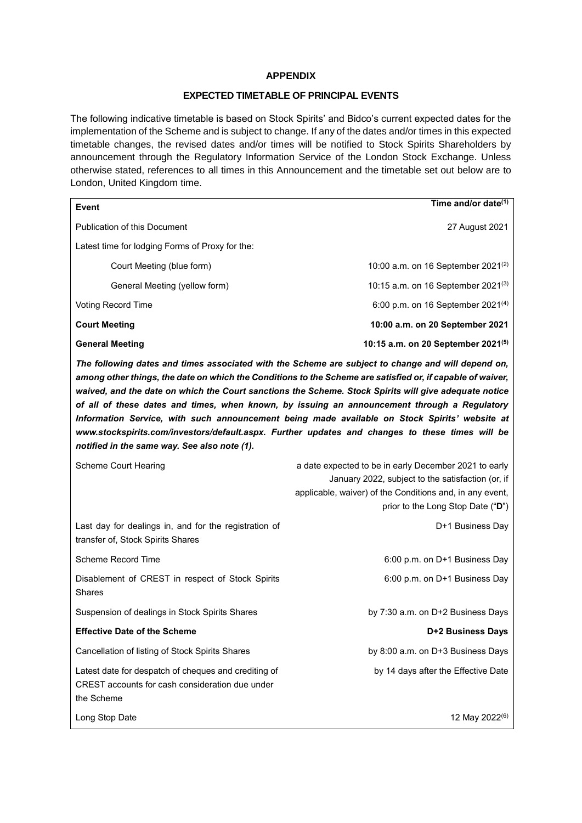## **APPENDIX**

# **EXPECTED TIMETABLE OF PRINCIPAL EVENTS**

The following indicative timetable is based on Stock Spirits' and Bidco's current expected dates for the implementation of the Scheme and is subject to change. If any of the dates and/or times in this expected timetable changes, the revised dates and/or times will be notified to Stock Spirits Shareholders by announcement through the Regulatory Information Service of the London Stock Exchange. Unless otherwise stated, references to all times in this Announcement and the timetable set out below are to London, United Kingdom time.

| Event                                                                                                                                                                                                                                                                                                                                                                                                                                                                                                                                                                                                                                                                         | Time and/or date <sup>(1)</sup>                                                                                                                                                                             |  |
|-------------------------------------------------------------------------------------------------------------------------------------------------------------------------------------------------------------------------------------------------------------------------------------------------------------------------------------------------------------------------------------------------------------------------------------------------------------------------------------------------------------------------------------------------------------------------------------------------------------------------------------------------------------------------------|-------------------------------------------------------------------------------------------------------------------------------------------------------------------------------------------------------------|--|
| Publication of this Document                                                                                                                                                                                                                                                                                                                                                                                                                                                                                                                                                                                                                                                  | 27 August 2021                                                                                                                                                                                              |  |
| Latest time for lodging Forms of Proxy for the:                                                                                                                                                                                                                                                                                                                                                                                                                                                                                                                                                                                                                               |                                                                                                                                                                                                             |  |
| Court Meeting (blue form)                                                                                                                                                                                                                                                                                                                                                                                                                                                                                                                                                                                                                                                     | 10:00 a.m. on 16 September 2021 <sup>(2)</sup>                                                                                                                                                              |  |
| General Meeting (yellow form)                                                                                                                                                                                                                                                                                                                                                                                                                                                                                                                                                                                                                                                 | 10:15 a.m. on 16 September 2021 <sup>(3)</sup>                                                                                                                                                              |  |
| <b>Voting Record Time</b>                                                                                                                                                                                                                                                                                                                                                                                                                                                                                                                                                                                                                                                     | 6:00 p.m. on 16 September 2021 <sup>(4)</sup>                                                                                                                                                               |  |
| <b>Court Meeting</b>                                                                                                                                                                                                                                                                                                                                                                                                                                                                                                                                                                                                                                                          | 10:00 a.m. on 20 September 2021                                                                                                                                                                             |  |
| <b>General Meeting</b>                                                                                                                                                                                                                                                                                                                                                                                                                                                                                                                                                                                                                                                        | 10:15 a.m. on 20 September 2021(5)                                                                                                                                                                          |  |
| The following dates and times associated with the Scheme are subject to change and will depend on,<br>among other things, the date on which the Conditions to the Scheme are satisfied or, if capable of waiver,<br>waived, and the date on which the Court sanctions the Scheme. Stock Spirits will give adequate notice<br>of all of these dates and times, when known, by issuing an announcement through a Regulatory<br>Information Service, with such announcement being made available on Stock Spirits' website at<br>www.stockspirits.com/investors/default.aspx. Further updates and changes to these times will be<br>notified in the same way. See also note (1). |                                                                                                                                                                                                             |  |
| Scheme Court Hearing                                                                                                                                                                                                                                                                                                                                                                                                                                                                                                                                                                                                                                                          | a date expected to be in early December 2021 to early<br>January 2022, subject to the satisfaction (or, if<br>applicable, waiver) of the Conditions and, in any event,<br>prior to the Long Stop Date ("D") |  |
| Last day for dealings in, and for the registration of<br>transfer of, Stock Spirits Shares                                                                                                                                                                                                                                                                                                                                                                                                                                                                                                                                                                                    | D+1 Business Day                                                                                                                                                                                            |  |
| Scheme Record Time                                                                                                                                                                                                                                                                                                                                                                                                                                                                                                                                                                                                                                                            | 6:00 p.m. on D+1 Business Day                                                                                                                                                                               |  |
| Disablement of CREST in respect of Stock Spirits<br>Shares                                                                                                                                                                                                                                                                                                                                                                                                                                                                                                                                                                                                                    | 6:00 p.m. on D+1 Business Day                                                                                                                                                                               |  |
| Suspension of dealings in Stock Spirits Shares                                                                                                                                                                                                                                                                                                                                                                                                                                                                                                                                                                                                                                | by 7:30 a.m. on D+2 Business Days                                                                                                                                                                           |  |
| <b>Effective Date of the Scheme</b>                                                                                                                                                                                                                                                                                                                                                                                                                                                                                                                                                                                                                                           | D+2 Business Days                                                                                                                                                                                           |  |
| Cancellation of listing of Stock Spirits Shares                                                                                                                                                                                                                                                                                                                                                                                                                                                                                                                                                                                                                               | by 8:00 a.m. on D+3 Business Days                                                                                                                                                                           |  |
| Latest date for despatch of cheques and crediting of<br>CREST accounts for cash consideration due under<br>the Scheme                                                                                                                                                                                                                                                                                                                                                                                                                                                                                                                                                         | by 14 days after the Effective Date                                                                                                                                                                         |  |
| Long Stop Date                                                                                                                                                                                                                                                                                                                                                                                                                                                                                                                                                                                                                                                                | 12 May 2022 <sup>(6)</sup>                                                                                                                                                                                  |  |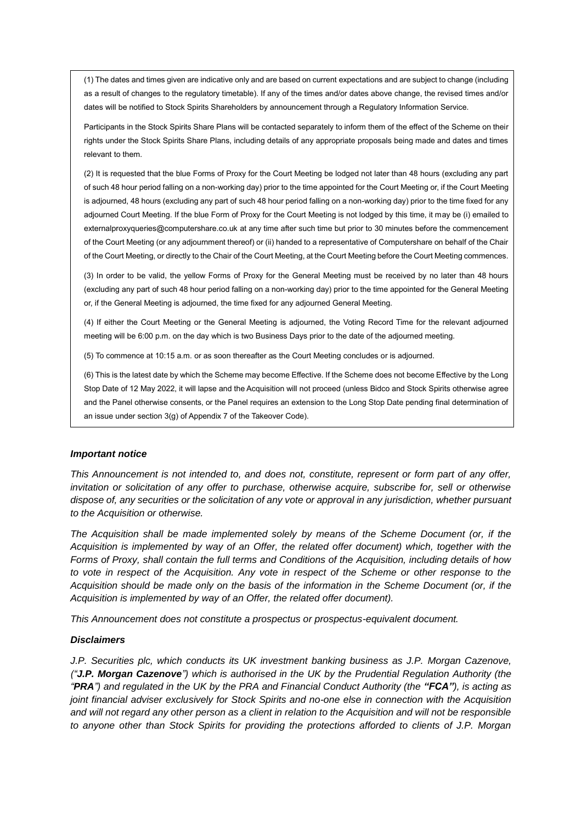(1) The dates and times given are indicative only and are based on current expectations and are subject to change (including as a result of changes to the regulatory timetable). If any of the times and/or dates above change, the revised times and/or dates will be notified to Stock Spirits Shareholders by announcement through a Regulatory Information Service.

Participants in the Stock Spirits Share Plans will be contacted separately to inform them of the effect of the Scheme on their rights under the Stock Spirits Share Plans, including details of any appropriate proposals being made and dates and times relevant to them.

(2) It is requested that the blue Forms of Proxy for the Court Meeting be lodged not later than 48 hours (excluding any part of such 48 hour period falling on a non-working day) prior to the time appointed for the Court Meeting or, if the Court Meeting is adjourned, 48 hours (excluding any part of such 48 hour period falling on a non-working day) prior to the time fixed for any adjourned Court Meeting. If the blue Form of Proxy for the Court Meeting is not lodged by this time, it may be (i) emailed to externalproxyqueries@computershare.co.uk at any time after such time but prior to 30 minutes before the commencement of the Court Meeting (or any adjournment thereof) or (ii) handed to a representative of Computershare on behalf of the Chair of the Court Meeting, or directly to the Chair of the Court Meeting, at the Court Meeting before the Court Meeting commences.

(3) In order to be valid, the yellow Forms of Proxy for the General Meeting must be received by no later than 48 hours (excluding any part of such 48 hour period falling on a non-working day) prior to the time appointed for the General Meeting or, if the General Meeting is adjourned, the time fixed for any adjourned General Meeting.

(4) If either the Court Meeting or the General Meeting is adjourned, the Voting Record Time for the relevant adjourned meeting will be 6:00 p.m. on the day which is two Business Days prior to the date of the adjourned meeting.

(5) To commence at 10:15 a.m. or as soon thereafter as the Court Meeting concludes or is adjourned.

(6) This is the latest date by which the Scheme may become Effective. If the Scheme does not become Effective by the Long Stop Date of 12 May 2022, it will lapse and the Acquisition will not proceed (unless Bidco and Stock Spirits otherwise agree and the Panel otherwise consents, or the Panel requires an extension to the Long Stop Date pending final determination of an issue under section 3(g) of Appendix 7 of the Takeover Code).

#### *Important notice*

*This Announcement is not intended to, and does not, constitute, represent or form part of any offer, invitation or solicitation of any offer to purchase, otherwise acquire, subscribe for, sell or otherwise dispose of, any securities or the solicitation of any vote or approval in any jurisdiction, whether pursuant to the Acquisition or otherwise.*

*The Acquisition shall be made implemented solely by means of the Scheme Document (or, if the Acquisition is implemented by way of an Offer, the related offer document) which, together with the Forms of Proxy, shall contain the full terms and Conditions of the Acquisition, including details of how to vote in respect of the Acquisition. Any vote in respect of the Scheme or other response to the Acquisition should be made only on the basis of the information in the Scheme Document (or, if the Acquisition is implemented by way of an Offer, the related offer document).*

*This Announcement does not constitute a prospectus or prospectus-equivalent document.*

#### *Disclaimers*

*J.P. Securities plc, which conducts its UK investment banking business as J.P. Morgan Cazenove, ("J.P. Morgan Cazenove") which is authorised in the UK by the Prudential Regulation Authority (the "PRA") and regulated in the UK by the PRA and Financial Conduct Authority (the "FCA"), is acting as joint financial adviser exclusively for Stock Spirits and no-one else in connection with the Acquisition and will not regard any other person as a client in relation to the Acquisition and will not be responsible to anyone other than Stock Spirits for providing the protections afforded to clients of J.P. Morgan*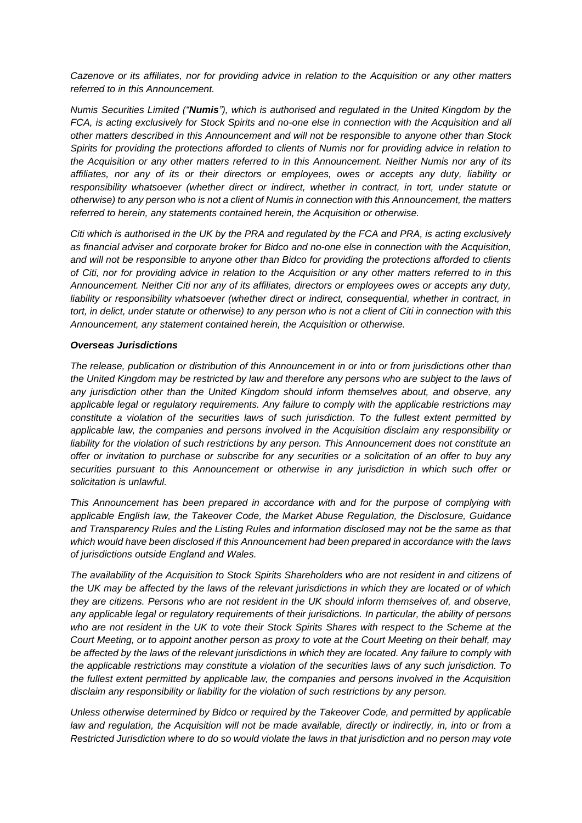*Cazenove or its affiliates, nor for providing advice in relation to the Acquisition or any other matters referred to in this Announcement.*

*Numis Securities Limited ("Numis"), which is authorised and regulated in the United Kingdom by the FCA, is acting exclusively for Stock Spirits and no-one else in connection with the Acquisition and all other matters described in this Announcement and will not be responsible to anyone other than Stock Spirits for providing the protections afforded to clients of Numis nor for providing advice in relation to the Acquisition or any other matters referred to in this Announcement. Neither Numis nor any of its affiliates, nor any of its or their directors or employees, owes or accepts any duty, liability or responsibility whatsoever (whether direct or indirect, whether in contract, in tort, under statute or otherwise) to any person who is not a client of Numis in connection with this Announcement, the matters referred to herein, any statements contained herein, the Acquisition or otherwise.* 

*Citi which is authorised in the UK by the PRA and regulated by the FCA and PRA, is acting exclusively as financial adviser and corporate broker for Bidco and no-one else in connection with the Acquisition, and will not be responsible to anyone other than Bidco for providing the protections afforded to clients of Citi, nor for providing advice in relation to the Acquisition or any other matters referred to in this Announcement. Neither Citi nor any of its affiliates, directors or employees owes or accepts any duty, liability or responsibility whatsoever (whether direct or indirect, consequential, whether in contract, in tort, in delict, under statute or otherwise) to any person who is not a client of Citi in connection with this Announcement, any statement contained herein, the Acquisition or otherwise.*

## *Overseas Jurisdictions*

*The release, publication or distribution of this Announcement in or into or from jurisdictions other than the United Kingdom may be restricted by law and therefore any persons who are subject to the laws of any jurisdiction other than the United Kingdom should inform themselves about, and observe, any applicable legal or regulatory requirements. Any failure to comply with the applicable restrictions may constitute a violation of the securities laws of such jurisdiction. To the fullest extent permitted by applicable law, the companies and persons involved in the Acquisition disclaim any responsibility or liability for the violation of such restrictions by any person. This Announcement does not constitute an offer or invitation to purchase or subscribe for any securities or a solicitation of an offer to buy any securities pursuant to this Announcement or otherwise in any jurisdiction in which such offer or solicitation is unlawful.* 

*This Announcement has been prepared in accordance with and for the purpose of complying with applicable English law, the Takeover Code, the Market Abuse Regulation, the Disclosure, Guidance and Transparency Rules and the Listing Rules and information disclosed may not be the same as that which would have been disclosed if this Announcement had been prepared in accordance with the laws of jurisdictions outside England and Wales.*

*The availability of the Acquisition to Stock Spirits Shareholders who are not resident in and citizens of the UK may be affected by the laws of the relevant jurisdictions in which they are located or of which they are citizens. Persons who are not resident in the UK should inform themselves of, and observe, any applicable legal or regulatory requirements of their jurisdictions. In particular, the ability of persons who are not resident in the UK to vote their Stock Spirits Shares with respect to the Scheme at the Court Meeting, or to appoint another person as proxy to vote at the Court Meeting on their behalf, may be affected by the laws of the relevant jurisdictions in which they are located. Any failure to comply with the applicable restrictions may constitute a violation of the securities laws of any such jurisdiction. To the fullest extent permitted by applicable law, the companies and persons involved in the Acquisition disclaim any responsibility or liability for the violation of such restrictions by any person.*

*Unless otherwise determined by Bidco or required by the Takeover Code, and permitted by applicable law and regulation, the Acquisition will not be made available, directly or indirectly, in, into or from a Restricted Jurisdiction where to do so would violate the laws in that jurisdiction and no person may vote*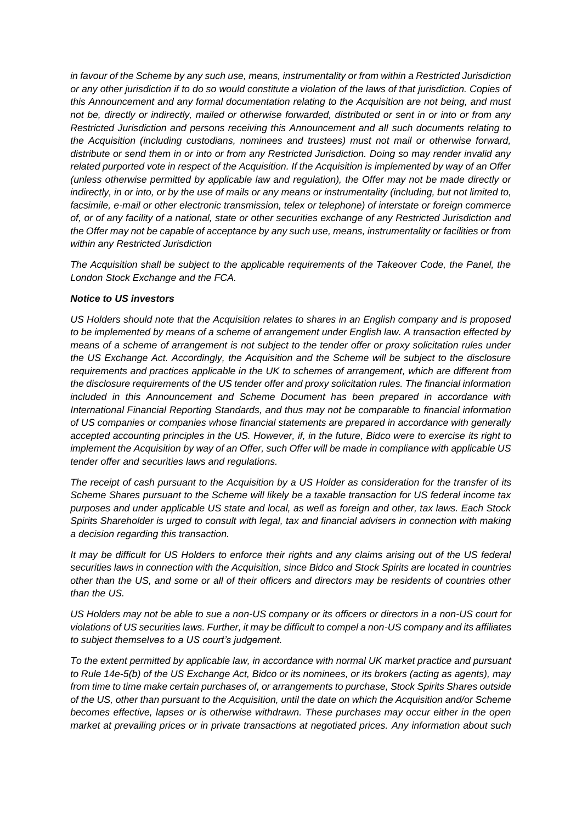*in favour of the Scheme by any such use, means, instrumentality or from within a Restricted Jurisdiction or any other jurisdiction if to do so would constitute a violation of the laws of that jurisdiction. Copies of this Announcement and any formal documentation relating to the Acquisition are not being, and must not be, directly or indirectly, mailed or otherwise forwarded, distributed or sent in or into or from any Restricted Jurisdiction and persons receiving this Announcement and all such documents relating to the Acquisition (including custodians, nominees and trustees) must not mail or otherwise forward, distribute or send them in or into or from any Restricted Jurisdiction. Doing so may render invalid any related purported vote in respect of the Acquisition. If the Acquisition is implemented by way of an Offer (unless otherwise permitted by applicable law and regulation), the Offer may not be made directly or indirectly, in or into, or by the use of mails or any means or instrumentality (including, but not limited to, facsimile, e-mail or other electronic transmission, telex or telephone) of interstate or foreign commerce of, or of any facility of a national, state or other securities exchange of any Restricted Jurisdiction and the Offer may not be capable of acceptance by any such use, means, instrumentality or facilities or from within any Restricted Jurisdiction*

The Acquisition shall be subject to the applicable requirements of the Takeover Code, the Panel, the *London Stock Exchange and the FCA.*

## *Notice to US investors*

*US Holders should note that the Acquisition relates to shares in an English company and is proposed to be implemented by means of a scheme of arrangement under English law. A transaction effected by means of a scheme of arrangement is not subject to the tender offer or proxy solicitation rules under the US Exchange Act. Accordingly, the Acquisition and the Scheme will be subject to the disclosure requirements and practices applicable in the UK to schemes of arrangement, which are different from the disclosure requirements of the US tender offer and proxy solicitation rules. The financial information included in this Announcement and Scheme Document has been prepared in accordance with International Financial Reporting Standards, and thus may not be comparable to financial information of US companies or companies whose financial statements are prepared in accordance with generally accepted accounting principles in the US. However, if, in the future, Bidco were to exercise its right to implement the Acquisition by way of an Offer, such Offer will be made in compliance with applicable US tender offer and securities laws and regulations.*

*The receipt of cash pursuant to the Acquisition by a US Holder as consideration for the transfer of its Scheme Shares pursuant to the Scheme will likely be a taxable transaction for US federal income tax purposes and under applicable US state and local, as well as foreign and other, tax laws. Each Stock Spirits Shareholder is urged to consult with legal, tax and financial advisers in connection with making a decision regarding this transaction.*

*It may be difficult for US Holders to enforce their rights and any claims arising out of the US federal securities laws in connection with the Acquisition, since Bidco and Stock Spirits are located in countries other than the US, and some or all of their officers and directors may be residents of countries other than the US.*

*US Holders may not be able to sue a non-US company or its officers or directors in a non-US court for violations of US securities laws. Further, it may be difficult to compel a non-US company and its affiliates to subject themselves to a US court's judgement.* 

*To the extent permitted by applicable law, in accordance with normal UK market practice and pursuant to Rule 14e-5(b) of the US Exchange Act, Bidco or its nominees, or its brokers (acting as agents), may from time to time make certain purchases of, or arrangements to purchase, Stock Spirits Shares outside of the US, other than pursuant to the Acquisition, until the date on which the Acquisition and/or Scheme becomes effective, lapses or is otherwise withdrawn. These purchases may occur either in the open market at prevailing prices or in private transactions at negotiated prices. Any information about such*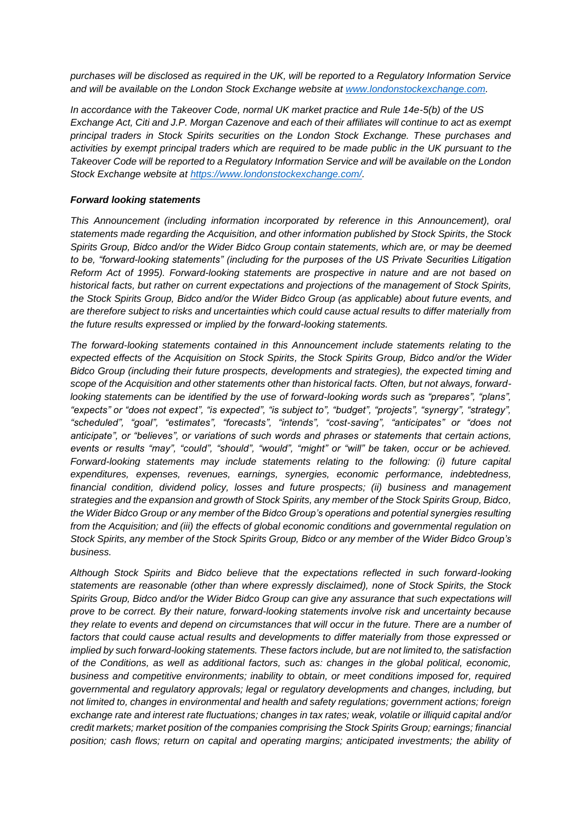*purchases will be disclosed as required in the UK, will be reported to a Regulatory Information Service and will be available on the London Stock Exchange website at [www.londonstockexchange.com.](http://www.londonstockexchange.com/)*

*In accordance with the Takeover Code, normal UK market practice and Rule 14e-5(b) of the US Exchange Act, Citi and J.P. Morgan Cazenove and each of their affiliates will continue to act as exempt principal traders in Stock Spirits securities on the London Stock Exchange. These purchases and activities by exempt principal traders which are required to be made public in the UK pursuant to the Takeover Code will be reported to a Regulatory Information Service and will be available on the London Stock Exchange website at [https://www.londonstockexchange.com/.](https://www.londonstockexchange.com/)*

# *Forward looking statements*

*This Announcement (including information incorporated by reference in this Announcement), oral statements made regarding the Acquisition, and other information published by Stock Spirits, the Stock Spirits Group, Bidco and/or the Wider Bidco Group contain statements, which are, or may be deemed to be, "forward-looking statements" (including for the purposes of the US Private Securities Litigation Reform Act of 1995). Forward-looking statements are prospective in nature and are not based on historical facts, but rather on current expectations and projections of the management of Stock Spirits, the Stock Spirits Group, Bidco and/or the Wider Bidco Group (as applicable) about future events, and are therefore subject to risks and uncertainties which could cause actual results to differ materially from the future results expressed or implied by the forward-looking statements.* 

*The forward-looking statements contained in this Announcement include statements relating to the expected effects of the Acquisition on Stock Spirits, the Stock Spirits Group, Bidco and/or the Wider Bidco Group (including their future prospects, developments and strategies), the expected timing and scope of the Acquisition and other statements other than historical facts. Often, but not always, forwardlooking statements can be identified by the use of forward-looking words such as "prepares", "plans", "expects" or "does not expect", "is expected", "is subject to", "budget", "projects", "synergy", "strategy", "scheduled", "goal", "estimates", "forecasts", "intends", "cost-saving", "anticipates" or "does not anticipate", or "believes", or variations of such words and phrases or statements that certain actions, events or results "may", "could", "should", "would", "might" or "will" be taken, occur or be achieved. Forward-looking statements may include statements relating to the following: (i) future capital expenditures, expenses, revenues, earnings, synergies, economic performance, indebtedness, financial condition, dividend policy, losses and future prospects; (ii) business and management strategies and the expansion and growth of Stock Spirits, any member of the Stock Spirits Group, Bidco, the Wider Bidco Group or any member of the Bidco Group's operations and potential synergies resulting from the Acquisition; and (iii) the effects of global economic conditions and governmental regulation on Stock Spirits, any member of the Stock Spirits Group, Bidco or any member of the Wider Bidco Group's business.* 

*Although Stock Spirits and Bidco believe that the expectations reflected in such forward-looking statements are reasonable (other than where expressly disclaimed), none of Stock Spirits, the Stock Spirits Group, Bidco and/or the Wider Bidco Group can give any assurance that such expectations will prove to be correct. By their nature, forward-looking statements involve risk and uncertainty because they relate to events and depend on circumstances that will occur in the future. There are a number of factors that could cause actual results and developments to differ materially from those expressed or implied by such forward-looking statements. These factors include, but are not limited to, the satisfaction of the Conditions, as well as additional factors, such as: changes in the global political, economic, business and competitive environments; inability to obtain, or meet conditions imposed for, required governmental and regulatory approvals; legal or regulatory developments and changes, including, but not limited to, changes in environmental and health and safety regulations; government actions; foreign exchange rate and interest rate fluctuations; changes in tax rates; weak, volatile or illiquid capital and/or credit markets; market position of the companies comprising the Stock Spirits Group; earnings; financial position; cash flows; return on capital and operating margins; anticipated investments; the ability of*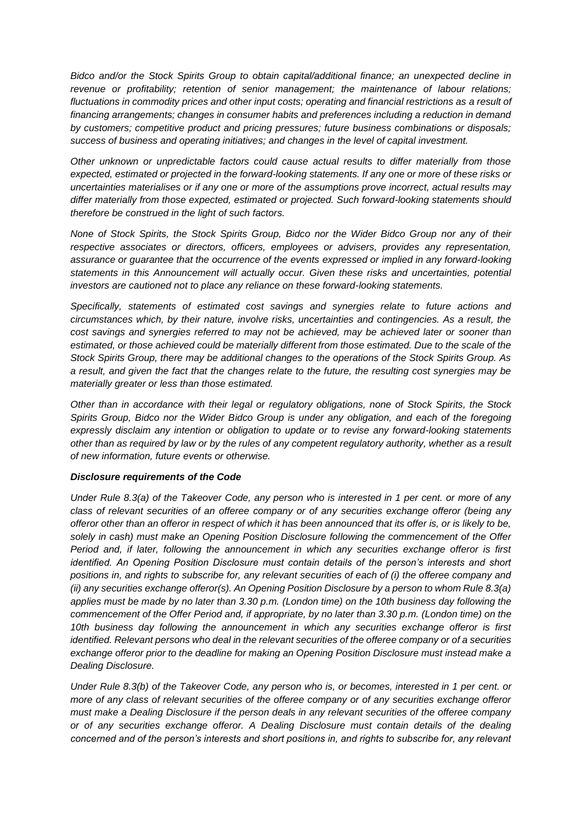*Bidco and/or the Stock Spirits Group to obtain capital/additional finance; an unexpected decline in revenue or profitability; retention of senior management; the maintenance of labour relations; fluctuations in commodity prices and other input costs; operating and financial restrictions as a result of financing arrangements; changes in consumer habits and preferences including a reduction in demand by customers; competitive product and pricing pressures; future business combinations or disposals; success of business and operating initiatives; and changes in the level of capital investment.*

*Other unknown or unpredictable factors could cause actual results to differ materially from those expected, estimated or projected in the forward-looking statements. If any one or more of these risks or uncertainties materialises or if any one or more of the assumptions prove incorrect, actual results may differ materially from those expected, estimated or projected. Such forward-looking statements should therefore be construed in the light of such factors.* 

*None of Stock Spirits, the Stock Spirits Group, Bidco nor the Wider Bidco Group nor any of their respective associates or directors, officers, employees or advisers, provides any representation, assurance or guarantee that the occurrence of the events expressed or implied in any forward-looking statements in this Announcement will actually occur. Given these risks and uncertainties, potential investors are cautioned not to place any reliance on these forward-looking statements.*

*Specifically, statements of estimated cost savings and synergies relate to future actions and circumstances which, by their nature, involve risks, uncertainties and contingencies. As a result, the cost savings and synergies referred to may not be achieved, may be achieved later or sooner than estimated, or those achieved could be materially different from those estimated. Due to the scale of the Stock Spirits Group, there may be additional changes to the operations of the Stock Spirits Group. As a result, and given the fact that the changes relate to the future, the resulting cost synergies may be materially greater or less than those estimated.* 

*Other than in accordance with their legal or regulatory obligations, none of Stock Spirits, the Stock Spirits Group, Bidco nor the Wider Bidco Group is under any obligation, and each of the foregoing expressly disclaim any intention or obligation to update or to revise any forward-looking statements other than as required by law or by the rules of any competent regulatory authority, whether as a result of new information, future events or otherwise.* 

# *Disclosure requirements of the Code*

*Under Rule 8.3(a) of the Takeover Code, any person who is interested in 1 per cent. or more of any class of relevant securities of an offeree company or of any securities exchange offeror (being any offeror other than an offeror in respect of which it has been announced that its offer is, or is likely to be, solely in cash) must make an Opening Position Disclosure following the commencement of the Offer Period and, if later, following the announcement in which any securities exchange offeror is first identified. An Opening Position Disclosure must contain details of the person's interests and short positions in, and rights to subscribe for, any relevant securities of each of (i) the offeree company and (ii) any securities exchange offeror(s). An Opening Position Disclosure by a person to whom Rule 8.3(a) applies must be made by no later than 3.30 p.m. (London time) on the 10th business day following the commencement of the Offer Period and, if appropriate, by no later than 3.30 p.m. (London time) on the 10th business day following the announcement in which any securities exchange offeror is first identified. Relevant persons who deal in the relevant securities of the offeree company or of a securities exchange offeror prior to the deadline for making an Opening Position Disclosure must instead make a Dealing Disclosure.*

*Under Rule 8.3(b) of the Takeover Code, any person who is, or becomes, interested in 1 per cent. or more of any class of relevant securities of the offeree company or of any securities exchange offeror must make a Dealing Disclosure if the person deals in any relevant securities of the offeree company or of any securities exchange offeror. A Dealing Disclosure must contain details of the dealing concerned and of the person's interests and short positions in, and rights to subscribe for, any relevant*